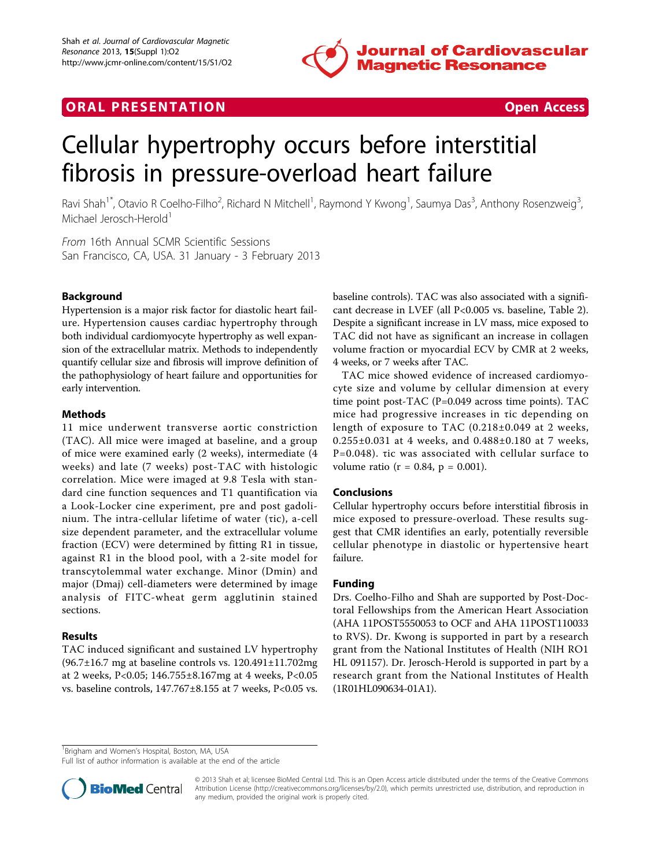

## **ORAL PRESENTATION CONSUMING ACCESS**



# Cellular hypertrophy occurs before interstitial fibrosis in pressure-overload heart failure

Ravi Shah<sup>1\*</sup>, Otavio R Coelho-Filho<sup>2</sup>, Richard N Mitchell<sup>1</sup>, Raymond Y Kwong<sup>1</sup>, Saumya Das<sup>3</sup>, Anthony Rosenzweig<sup>3</sup> , Michael Jerosch-Herold<sup>1</sup>

From 16th Annual SCMR Scientific Sessions San Francisco, CA, USA. 31 January - 3 February 2013

### Background

Hypertension is a major risk factor for diastolic heart failure. Hypertension causes cardiac hypertrophy through both individual cardiomyocyte hypertrophy as well expansion of the extracellular matrix. Methods to independently quantify cellular size and fibrosis will improve definition of the pathophysiology of heart failure and opportunities for early intervention.

### Methods

11 mice underwent transverse aortic constriction (TAC). All mice were imaged at baseline, and a group of mice were examined early (2 weeks), intermediate (4 weeks) and late (7 weeks) post-TAC with histologic correlation. Mice were imaged at 9.8 Tesla with standard cine function sequences and T1 quantification via a Look-Locker cine experiment, pre and post gadolinium. The intra-cellular lifetime of water (τic), a-cell size dependent parameter, and the extracellular volume fraction (ECV) were determined by fitting R1 in tissue, against R1 in the blood pool, with a 2-site model for transcytolemmal water exchange. Minor (Dmin) and major (Dmaj) cell-diameters were determined by image analysis of FITC-wheat germ agglutinin stained sections.

#### Results

TAC induced significant and sustained LV hypertrophy (96.7±16.7 mg at baseline controls vs. 120.491±11.702mg at 2 weeks, P<0.05; 146.755±8.167mg at 4 weeks, P<0.05 vs. baseline controls, 147.767±8.155 at 7 weeks, P<0.05 vs.

baseline controls). TAC was also associated with a significant decrease in LVEF (all P<0.005 vs. baseline, Table 2). Despite a significant increase in LV mass, mice exposed to TAC did not have as significant an increase in collagen volume fraction or myocardial ECV by CMR at 2 weeks, 4 weeks, or 7 weeks after TAC.

TAC mice showed evidence of increased cardiomyocyte size and volume by cellular dimension at every time point post-TAC (P=0.049 across time points). TAC mice had progressive increases in τic depending on length of exposure to TAC (0.218±0.049 at 2 weeks, 0.255±0.031 at 4 weeks, and 0.488±0.180 at 7 weeks, P=0.048). τic was associated with cellular surface to volume ratio ( $r = 0.84$ ,  $p = 0.001$ ).

#### Conclusions

Cellular hypertrophy occurs before interstitial fibrosis in mice exposed to pressure-overload. These results suggest that CMR identifies an early, potentially reversible cellular phenotype in diastolic or hypertensive heart failure.

### Funding

Drs. Coelho-Filho and Shah are supported by Post-Doctoral Fellowships from the American Heart Association (AHA 11POST5550053 to OCF and AHA 11POST110033 to RVS). Dr. Kwong is supported in part by a research grant from the National Institutes of Health (NIH RO1 HL 091157). Dr. Jerosch-Herold is supported in part by a research grant from the National Institutes of Health (1R01HL090634-01A1).

<sup>1</sup> Brigham and Women's Hospital, Boston, MA, USA

Full list of author information is available at the end of the article



© 2013 Shah et al; licensee BioMed Central Ltd. This is an Open Access article distributed under the terms of the Creative Commons Attribution License [\(http://creativecommons.org/licenses/by/2.0](http://creativecommons.org/licenses/by/2.0)), which permits unrestricted use, distribution, and reproduction in any medium, provided the original work is properly cited.